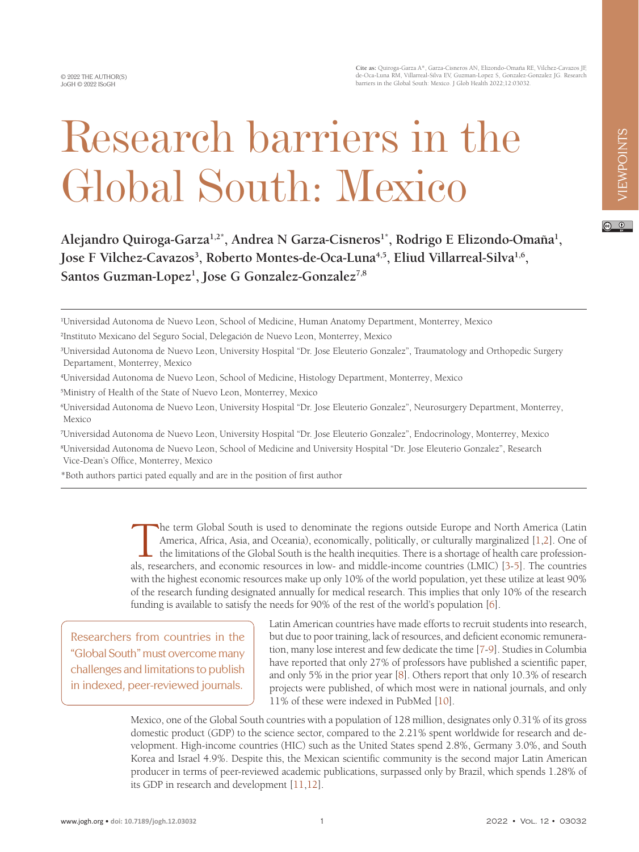**Cite as:** Quiroga-Garza A\*, Garza-Cisneros AN, Elizondo-Omaña RE, Vilchez-Cavazos JF, de-Oca-Luna RM, Villarreal-Silva EV, Guzman-Lopez S, Gonzalez-Gonzalez JG. Research barriers in the Global South: Mexico. J Glob Health 2022;12:03032.

# $\odot$   $\odot$

Alejandro Quiroga-Garza<sup>1,2\*</sup>, Andrea N Garza-Cisneros<sup>1\*</sup>, Rodrigo E Elizondo-Omaña<sup>1</sup>, Jose F Vilchez-Cavazos<sup>3</sup>, Roberto Montes-de-Oca-Luna<sup>4,5</sup>, Eliud Villarreal-Silva<sup>1,6</sup>, **Santos Guzman-Lopez1 , Jose G Gonzalez-Gonzalez7,8**

Research barriers in the

Global South: Mexico

- 4 Universidad Autonoma de Nuevo Leon, School of Medicine, Histology Department, Monterrey, Mexico
- 5 Ministry of Health of the State of Nuevo Leon, Monterrey, Mexico

7 Universidad Autonoma de Nuevo Leon, University Hospital "Dr. Jose Eleuterio Gonzalez", Endocrinology, Monterrey, Mexico

8 Universidad Autonoma de Nuevo Leon, School of Medicine and University Hospital "Dr. Jose Eleuterio Gonzalez", Research Vice-Dean's Office, Monterrey, Mexico

\*Both authors partici pated equally and are in the position of first author

The term Global South is used to denominate the regions outside Europe and North America (Latin<br>America, Africa, Asia, and Oceania), economically, politically, or culturally marginalized [1,2]. One of<br>the limitations of th America, Africa, Asia, and Oceania), economically, politically, or culturally marginalized [1,2]. One of the limitations of the Global South is the health inequities. There is a shortage of health care professionals, researchers, and economic resources in low- and middle-income countries (LMIC) [[3-](#page-4-2)[5](#page-4-3)]. The countries with the highest economic resources make up only 10% of the world population, yet these utilize at least 90% of the research funding designated annually for medical research. This implies that only 10% of the research funding is available to satisfy the needs for 90% of the rest of the world's population [\[6](#page-4-4)].

Researchers from countries in the "Global South" must overcome many challenges and limitations to publish in indexed, peer-reviewed journals.

Latin American countries have made efforts to recruit students into research, but due to poor training, lack of resources, and deficient economic remuneration, many lose interest and few dedicate the time [\[7](#page-4-5)[-9](#page-4-6)]. Studies in Columbia have reported that only 27% of professors have published a scientific paper, and only 5% in the prior year [\[8](#page-4-7)]. Others report that only 10.3% of research projects were published, of which most were in national journals, and only 11% of these were indexed in PubMed [\[10](#page-4-8)].

Mexico, one of the Global South countries with a population of 128 million, designates only 0.31% of its gross domestic product (GDP) to the science sector, compared to the 2.21% spent worldwide for research and development. High-income countries (HIC) such as the United States spend 2.8%, Germany 3.0%, and South Korea and Israel 4.9%. Despite this, the Mexican scientific community is the second major Latin American producer in terms of peer-reviewed academic publications, surpassed only by Brazil, which spends 1.28% of its GDP in research and development [\[11,](#page-4-9)[12](#page-4-10)].

<sup>1</sup> Universidad Autonoma de Nuevo Leon, School of Medicine, Human Anatomy Department, Monterrey, Mexico

<sup>2</sup> Instituto Mexicano del Seguro Social, Delegación de Nuevo Leon, Monterrey, Mexico

<sup>3</sup> Universidad Autonoma de Nuevo Leon, University Hospital "Dr. Jose Eleuterio Gonzalez", Traumatology and Orthopedic Surgery Departament, Monterrey, Mexico

<sup>6</sup> Universidad Autonoma de Nuevo Leon, University Hospital "Dr. Jose Eleuterio Gonzalez", Neurosurgery Department, Monterrey, Mexico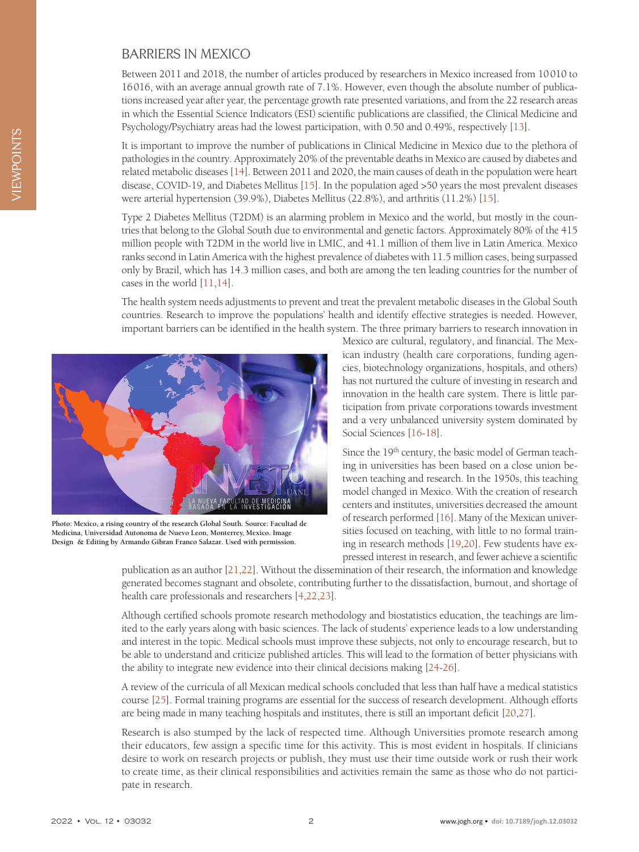### BARRIERS IN MEXICO

Between 2011 and 2018, the number of articles produced by researchers in Mexico increased from 10010 to 16016, with an average annual growth rate of 7.1%. However, even though the absolute number of publications increased year after year, the percentage growth rate presented variations, and from the 22 research areas in which the Essential Science Indicators (ESI) scientific publications are classified, the Clinical Medicine and Psychology/Psychiatry areas had the lowest participation, with 0.50 and 0.49%, respectively [\[13\]](#page-4-11).

It is important to improve the number of publications in Clinical Medicine in Mexico due to the plethora of pathologies in the country. Approximately 20% of the preventable deaths in Mexico are caused by diabetes and related metabolic diseases [[14\]](#page-4-12). Between 2011 and 2020, the main causes of death in the population were heart disease, COVID-19, and Diabetes Mellitus [\[15](#page-4-13)]. In the population aged >50 years the most prevalent diseases were arterial hypertension (39.9%), Diabetes Mellitus (22.8%), and arthritis (11.2%) [[15\]](#page-4-13).

Type 2 Diabetes Mellitus (T2DM) is an alarming problem in Mexico and the world, but mostly in the countries that belong to the Global South due to environmental and genetic factors. Approximately 80% of the 415 million people with T2DM in the world live in LMIC, and 41.1 million of them live in Latin America. Mexico ranks second in Latin America with the highest prevalence of diabetes with 11.5 million cases, being surpassed only by Brazil, which has 14.3 million cases, and both are among the ten leading countries for the number of cases in the world [\[11,](#page-4-9)[14](#page-4-12)].

The health system needs adjustments to prevent and treat the prevalent metabolic diseases in the Global South countries. Research to improve the populations' health and identify effective strategies is needed. However, important barriers can be identified in the health system. The three primary barriers to research innovation in



**Photo: Mexico, a rising country of the research Global South. Source: Facultad de Medicina, Universidad Autonoma de Nuevo Leon, Monterrey, Mexico. Image Design & Editing by Armando Gibran Franco Salazar. Used with permission.**

Mexico are cultural, regulatory, and financial. The Mexican industry (health care corporations, funding agencies, biotechnology organizations, hospitals, and others) has not nurtured the culture of investing in research and innovation in the health care system. There is little participation from private corporations towards investment and a very unbalanced university system dominated by Social Sciences [\[16](#page-4-14)-[18\]](#page-4-15).

Since the 19<sup>th</sup> century, the basic model of German teaching in universities has been based on a close union between teaching and research. In the 1950s, this teaching model changed in Mexico. With the creation of research centers and institutes, universities decreased the amount of research performed [[16\]](#page-4-14). Many of the Mexican universities focused on teaching, with little to no formal training in research methods [[19](#page-4-16)[,20\]](#page-4-17). Few students have expressed interest in research, and fewer achieve a scientific

publication as an author [[21](#page-4-18)[,22](#page-4-19)]. Without the dissemination of their research, the information and knowledge generated becomes stagnant and obsolete, contributing further to the dissatisfaction, burnout, and shortage of health care professionals and researchers [\[4](#page-4-20),[22](#page-4-19)[,23](#page-5-0)].

Although certified schools promote research methodology and biostatistics education, the teachings are limited to the early years along with basic sciences. The lack of students' experience leads to a low understanding and interest in the topic. Medical schools must improve these subjects, not only to encourage research, but to be able to understand and criticize published articles. This will lead to the formation of better physicians with the ability to integrate new evidence into their clinical decisions making [\[24-](#page-5-1)[26](#page-5-2)].

A review of the curricula of all Mexican medical schools concluded that less than half have a medical statistics course [[25\]](#page-5-3). Formal training programs are essential for the success of research development. Although efforts are being made in many teaching hospitals and institutes, there is still an important deficit [\[20](#page-4-17),[27\]](#page-5-4).

Research is also stumped by the lack of respected time. Although Universities promote research among their educators, few assign a specific time for this activity. This is most evident in hospitals. If clinicians desire to work on research projects or publish, they must use their time outside work or rush their work to create time, as their clinical responsibilities and activities remain the same as those who do not participate in research.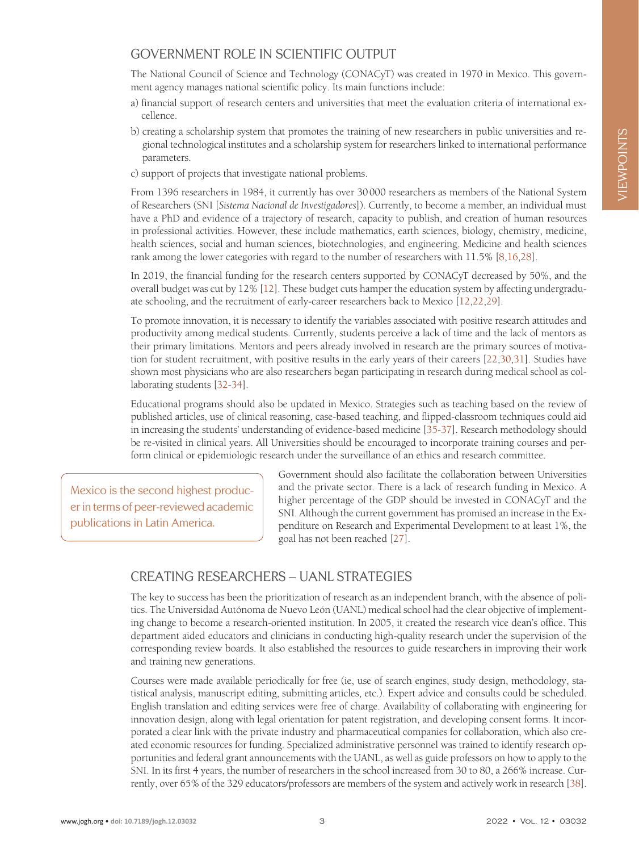# GOVERNMENT ROLE IN SCIENTIFIC OUTPUT

The National Council of Science and Technology (CONACyT) was created in 1970 in Mexico. This government agency manages national scientific policy. Its main functions include:

- a) financial support of research centers and universities that meet the evaluation criteria of international excellence.
- b) creating a scholarship system that promotes the training of new researchers in public universities and regional technological institutes and a scholarship system for researchers linked to international performance parameters.
- c) support of projects that investigate national problems.

From 1396 researchers in 1984, it currently has over 30000 researchers as members of the National System of Researchers (SNI [*Sistema Nacional de Investigadores*]). Currently, to become a member, an individual must have a PhD and evidence of a trajectory of research, capacity to publish, and creation of human resources in professional activities. However, these include mathematics, earth sciences, biology, chemistry, medicine, health sciences, social and human sciences, biotechnologies, and engineering. Medicine and health sciences rank among the lower categories with regard to the number of researchers with 11.5% [\[8](#page-4-7),[16](#page-4-14)[,28\]](#page-5-5).

In 2019, the financial funding for the research centers supported by CONACyT decreased by 50%, and the overall budget was cut by 12% [\[12\]](#page-4-10). These budget cuts hamper the education system by affecting undergraduate schooling, and the recruitment of early-career researchers back to Mexico [\[12](#page-4-10),[22](#page-4-19)[,29\]](#page-5-6).

To promote innovation, it is necessary to identify the variables associated with positive research attitudes and productivity among medical students. Currently, students perceive a lack of time and the lack of mentors as their primary limitations. Mentors and peers already involved in research are the primary sources of motivation for student recruitment, with positive results in the early years of their careers [[22](#page-4-19)[,30](#page-5-7)[,31](#page-5-8)]. Studies have shown most physicians who are also researchers began participating in research during medical school as collaborating students [\[32-](#page-5-9)[34\]](#page-5-10).

Educational programs should also be updated in Mexico. Strategies such as teaching based on the review of published articles, use of clinical reasoning, case-based teaching, and flipped-classroom techniques could aid in increasing the students' understanding of evidence-based medicine [[35](#page-5-11)[-37](#page-5-12)]. Research methodology should be re-visited in clinical years. All Universities should be encouraged to incorporate training courses and perform clinical or epidemiologic research under the surveillance of an ethics and research committee.

Mexico is the second highest producer in terms of peer-reviewed academic publications in Latin America.

Government should also facilitate the collaboration between Universities and the private sector. There is a lack of research funding in Mexico. A higher percentage of the GDP should be invested in CONACyT and the SNI. Although the current government has promised an increase in the Expenditure on Research and Experimental Development to at least 1%, the goal has not been reached [[27\]](#page-5-4).

# CREATING RESEARCHERS – UANL STRATEGIES

The key to success has been the prioritization of research as an independent branch, with the absence of politics. The Universidad Autónoma de Nuevo León (UANL) medical school had the clear objective of implementing change to become a research-oriented institution. In 2005, it created the research vice dean's office. This department aided educators and clinicians in conducting high-quality research under the supervision of the corresponding review boards. It also established the resources to guide researchers in improving their work and training new generations.

Courses were made available periodically for free (ie, use of search engines, study design, methodology, statistical analysis, manuscript editing, submitting articles, etc.). Expert advice and consults could be scheduled. English translation and editing services were free of charge. Availability of collaborating with engineering for innovation design, along with legal orientation for patent registration, and developing consent forms. It incorporated a clear link with the private industry and pharmaceutical companies for collaboration, which also created economic resources for funding. Specialized administrative personnel was trained to identify research opportunities and federal grant announcements with the UANL, as well as guide professors on how to apply to the SNI. In its first 4 years, the number of researchers in the school increased from 30 to 80, a 266% increase. Currently, over 65% of the 329 educators/professors are members of the system and actively work in research [\[38](#page-5-13)].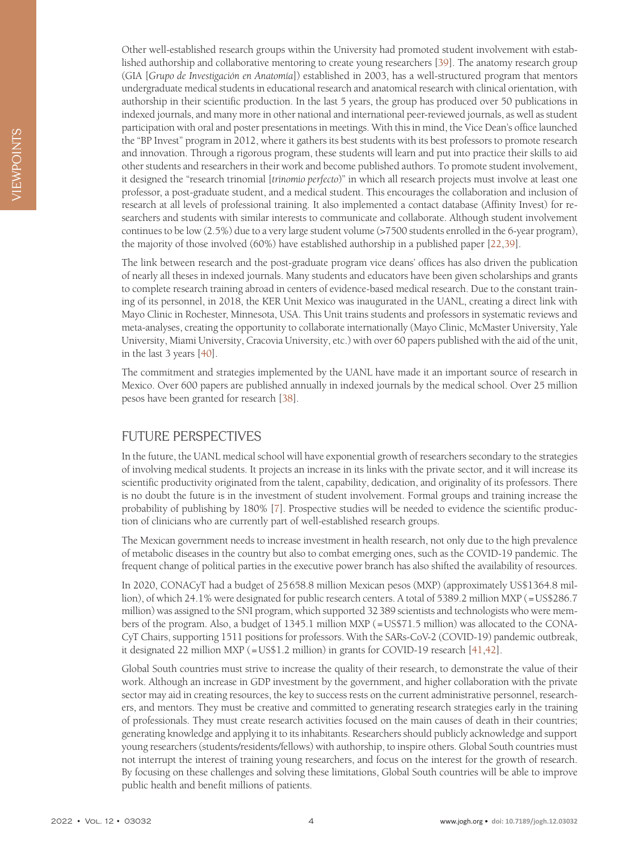Other well-established research groups within the University had promoted student involvement with established authorship and collaborative mentoring to create young researchers [\[39](#page-5-14)]. The anatomy research group (GIA [*Grupo de Investigación en Anatomía*]) established in 2003, has a well-structured program that mentors undergraduate medical students in educational research and anatomical research with clinical orientation, with authorship in their scientific production. In the last 5 years, the group has produced over 50 publications in indexed journals, and many more in other national and international peer-reviewed journals, as well as student participation with oral and poster presentations in meetings. With this in mind, the Vice Dean's office launched the "BP Invest" program in 2012, where it gathers its best students with its best professors to promote research and innovation. Through a rigorous program, these students will learn and put into practice their skills to aid other students and researchers in their work and become published authors. To promote student involvement, it designed the "research trinomial [*trinomio perfecto*)" in which all research projects must involve at least one professor, a post-graduate student, and a medical student. This encourages the collaboration and inclusion of research at all levels of professional training. It also implemented a contact database (Affinity Invest) for researchers and students with similar interests to communicate and collaborate. Although student involvement continues to be low (2.5%) due to a very large student volume (>7500 students enrolled in the 6-year program), the majority of those involved (60%) have established authorship in a published paper [\[22,](#page-4-19)[39](#page-5-14)].

The link between research and the post-graduate program vice deans' offices has also driven the publication of nearly all theses in indexed journals. Many students and educators have been given scholarships and grants to complete research training abroad in centers of evidence-based medical research. Due to the constant training of its personnel, in 2018, the KER Unit Mexico was inaugurated in the UANL, creating a direct link with Mayo Clinic in Rochester, Minnesota, USA. This Unit trains students and professors in systematic reviews and meta-analyses, creating the opportunity to collaborate internationally (Mayo Clinic, McMaster University, Yale University, Miami University, Cracovia University, etc.) with over 60 papers published with the aid of the unit, in the last 3 years [\[40](#page-5-15)].

The commitment and strategies implemented by the UANL have made it an important source of research in Mexico. Over 600 papers are published annually in indexed journals by the medical school. Over 25 million pesos have been granted for research [\[38](#page-5-13)].

# FUTURE PERSPECTIVES

In the future, the UANL medical school will have exponential growth of researchers secondary to the strategies of involving medical students. It projects an increase in its links with the private sector, and it will increase its scientific productivity originated from the talent, capability, dedication, and originality of its professors. There is no doubt the future is in the investment of student involvement. Formal groups and training increase the probability of publishing by 180% [[7\]](#page-4-5). Prospective studies will be needed to evidence the scientific production of clinicians who are currently part of well-established research groups.

The Mexican government needs to increase investment in health research, not only due to the high prevalence of metabolic diseases in the country but also to combat emerging ones, such as the COVID-19 pandemic. The frequent change of political parties in the executive power branch has also shifted the availability of resources.

In 2020, CONACyT had a budget of 25658.8 million Mexican pesos (MXP) (approximately US\$1364.8 million), of which 24.1% were designated for public research centers. A total of 5389.2 million MXP (=US\$286.7) million) was assigned to the SNI program, which supported 32389 scientists and technologists who were members of the program. Also, a budget of 1345.1 million MXP (=US\$71.5 million) was allocated to the CONA-CyT Chairs, supporting 1511 positions for professors. With the SARs-CoV-2 (COVID-19) pandemic outbreak, it designated 22 million MXP (=US\$1.2 million) in grants for COVID-19 research [[41](#page-5-16),[42\]](#page-5-17).

Global South countries must strive to increase the quality of their research, to demonstrate the value of their work. Although an increase in GDP investment by the government, and higher collaboration with the private sector may aid in creating resources, the key to success rests on the current administrative personnel, researchers, and mentors. They must be creative and committed to generating research strategies early in the training of professionals. They must create research activities focused on the main causes of death in their countries; generating knowledge and applying it to its inhabitants. Researchers should publicly acknowledge and support young researchers (students/residents/fellows) with authorship, to inspire others. Global South countries must not interrupt the interest of training young researchers, and focus on the interest for the growth of research. By focusing on these challenges and solving these limitations, Global South countries will be able to improve public health and benefit millions of patients.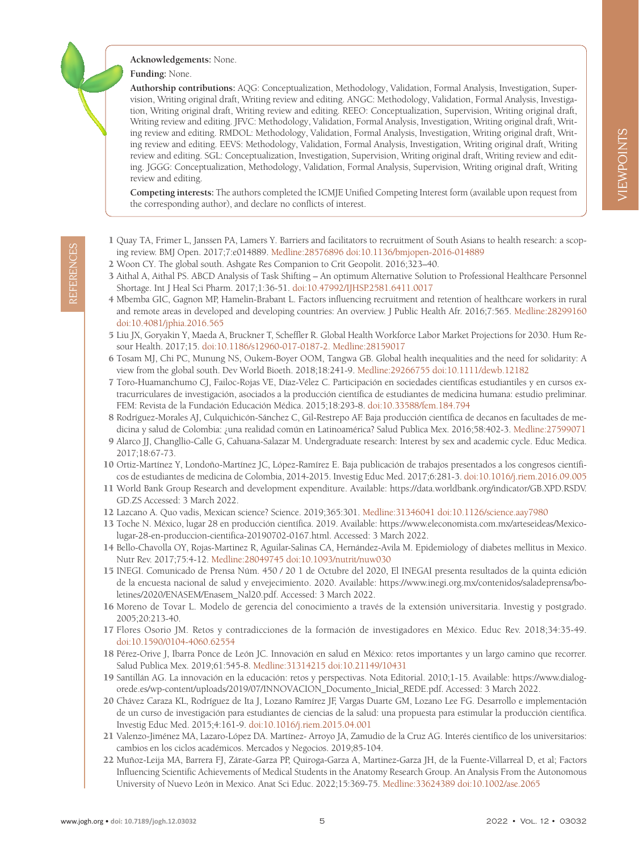### **Acknowledgements:** None.

#### **Funding:** None.

**Authorship contributions:** AQG: Conceptualization, Methodology, Validation, Formal Analysis, Investigation, Supervision, Writing original draft, Writing review and editing. ANGC: Methodology, Validation, Formal Analysis, Investigation, Writing original draft, Writing review and editing. REEO: Conceptualization, Supervision, Writing original draft, Writing review and editing. JFVC: Methodology, Validation, Formal Analysis, Investigation, Writing original draft, Writing review and editing. RMDOL: Methodology, Validation, Formal Analysis, Investigation, Writing original draft, Writing review and editing. EEVS: Methodology, Validation, Formal Analysis, Investigation, Writing original draft, Writing review and editing. SGL: Conceptualization, Investigation, Supervision, Writing original draft, Writing review and editing. JGGG: Conceptualization, Methodology, Validation, Formal Analysis, Supervision, Writing original draft, Writing review and editing.

**Competing interests:** The authors completed the ICMJE Unified Competing Interest form (available upon request from the corresponding author), and declare no conflicts of interest.

- <span id="page-4-0"></span>1 Quay TA, Frimer L, Janssen PA, Lamers Y. Barriers and facilitators to recruitment of South Asians to health research: a scoping review. BMJ Open. 2017;7:e014889. [Medline:28576896](https://www.ncbi.nlm.nih.gov/entrez/query.fcgi?cmd=Retrieve&db=PubMed&list_uids=28576896&dopt=Abstract) [doi:10.1136/bmjopen-2016-014889](https://doi.org/10.1136/bmjopen-2016-014889)
- <span id="page-4-1"></span>2 Woon CY. The global south. Ashgate Res Companion to Crit Geopolit. 2016;323–40.
- <span id="page-4-2"></span>3 Aithal A, Aithal PS. ABCD Analysis of Task Shifting – An optimum Alternative Solution to Professional Healthcare Personnel Shortage. Int J Heal Sci Pharm. 2017;1:36-51. [doi:10.47992/IJHSP.2581.6411.0017](https://doi.org/10.47992/IJHSP.2581.6411.0017)
- <span id="page-4-20"></span>4 Mbemba GIC, Gagnon MP, Hamelin-Brabant L. Factors influencing recruitment and retention of healthcare workers in rural and remote areas in developed and developing countries: An overview. J Public Health Afr. 2016;7:565. [Medline:28299160](https://www.ncbi.nlm.nih.gov/entrez/query.fcgi?cmd=Retrieve&db=PubMed&list_uids=28299160&dopt=Abstract) [doi:10.4081/jphia.2016.565](https://doi.org/10.4081/jphia.2016.565)
- <span id="page-4-3"></span>5 Liu JX, Goryakin Y, Maeda A, Bruckner T, Scheffler R. Global Health Workforce Labor Market Projections for 2030. Hum Resour Health. 2017;15. [doi:10.1186/s12960-017-0187-2.](https://doi.org/10.1186/s12960-017-0187-2) [Medline:28159017](https://www.ncbi.nlm.nih.gov/entrez/query.fcgi?cmd=Retrieve&db=PubMed&list_uids=28159017&dopt=Abstract)
- <span id="page-4-4"></span>6 Tosam MJ, Chi PC, Munung NS, Oukem-Boyer OOM, Tangwa GB. Global health inequalities and the need for solidarity: A view from the global south. Dev World Bioeth. 2018;18:241-9. [Medline:29266755](https://www.ncbi.nlm.nih.gov/entrez/query.fcgi?cmd=Retrieve&db=PubMed&list_uids=29266755&dopt=Abstract) [doi:10.1111/dewb.12182](https://doi.org/10.1111/dewb.12182)
- <span id="page-4-5"></span>7 Toro-Huamanchumo CJ, Failoc-Rojas VE, Díaz-Vélez C. Participación en sociedades científicas estudiantiles y en cursos extracurriculares de investigación, asociados a la producción científica de estudiantes de medicina humana: estudio preliminar. FEM: Revista de la Fundación Educación Médica. 2015;18:293-8. [doi:10.33588/fem.184.794](https://doi.org/10.33588/fem.184.794)
- <span id="page-4-7"></span>8 Rodríguez-Morales AJ, Culquichicón-Sánchez C, Gil-Restrepo AF. Baja producción científica de decanos en facultades de medicina y salud de Colombia: ¿una realidad común en Latinoamérica? Salud Publica Mex. 2016;58:402-3. [Medline:27599071](https://www.ncbi.nlm.nih.gov/entrez/query.fcgi?cmd=Retrieve&db=PubMed&list_uids=27599071&dopt=Abstract)
- <span id="page-4-6"></span>9 Alarco JJ, Changllio-Calle G, Cahuana-Salazar M. Undergraduate research: Interest by sex and academic cycle. Educ Medica. 2017;18:67-73.
- <span id="page-4-8"></span>10 Ortiz-Martínez Y, Londoño-Martínez JC, López-Ramírez E. Baja publicación de trabajos presentados a los congresos científicos de estudiantes de medicina de Colombia, 2014-2015. Investig Educ Med. 2017;6:281-3. [doi:10.1016/j.riem.2016.09.005](https://doi.org/10.1016/j.riem.2016.09.005)
- <span id="page-4-9"></span>11 World Bank Group Research and development expenditure. Available: [https://data.worldbank.org/indicator/GB.XPD.RSDV.](https://data.worldbank.org/indicator/GB.XPD.RSDV.GD.ZS) [GD.ZS](https://data.worldbank.org/indicator/GB.XPD.RSDV.GD.ZS) Accessed: 3 March 2022.
- <span id="page-4-10"></span>12 Lazcano A. Quo vadis, Mexican science? Science. 2019;365:301. [Medline:31346041](https://www.ncbi.nlm.nih.gov/entrez/query.fcgi?cmd=Retrieve&db=PubMed&list_uids=31346041&dopt=Abstract) [doi:10.1126/science.aay7980](https://doi.org/10.1126/science.aay7980)
- <span id="page-4-11"></span>13 Toche N. México, lugar 28 en producción científica. 2019. Available: [https://www.eleconomista.com.mx/arteseideas/Mexico](https://www.eleconomista.com.mx/arteseideas/Mexico-lugar-28-en-produccion-cientifica-20190702-0167.h)[lugar-28-en-produccion-cientifica-20190702-0167.html](https://www.eleconomista.com.mx/arteseideas/Mexico-lugar-28-en-produccion-cientifica-20190702-0167.h). Accessed: 3 March 2022.
- <span id="page-4-19"></span><span id="page-4-18"></span><span id="page-4-17"></span><span id="page-4-16"></span><span id="page-4-15"></span><span id="page-4-14"></span><span id="page-4-13"></span><span id="page-4-12"></span>14 Bello-Chavolla OY, Rojas-Martinez R, Aguilar-Salinas CA, Hernández-Avila M. Epidemiology of diabetes mellitus in Mexico. Nutr Rev. 2017;75:4-12. [Medline:28049745](https://www.ncbi.nlm.nih.gov/entrez/query.fcgi?cmd=Retrieve&db=PubMed&list_uids=28049745&dopt=Abstract) [doi:10.1093/nutrit/nuw030](https://doi.org/10.1093/nutrit/nuw030)
- We have the boson of the boson station of the boson in the boson of the boson of the boson stationary of the boson stationary of the boson of the boson of the boson of the boson of the boson of the boson of the boson of 15 INEGI. Comunicado de Prensa Núm. 450 / 20 1 de Octubre del 2020, El INEGAI presenta resultados de la quinta edición de la encuesta nacional de salud y envejecimiento. 2020. Available: [https://www.inegi.org.mx/contenidos/saladeprensa/bo](https://www.inegi.org.mx/contenidos/saladeprensa/boletines/2020/ENASEM/Enasem_Nal20.pdf)[letines/2020/ENASEM/Enasem\\_Nal20.pdf](https://www.inegi.org.mx/contenidos/saladeprensa/boletines/2020/ENASEM/Enasem_Nal20.pdf). Accessed: 3 March 2022.
	- 16 Moreno de Tovar L. Modelo de gerencia del conocimiento a través de la extensión universitaria. Investig y postgrado. 2005;20:213-40.
	- 17 Flores Osorio JM. Retos y contradicciones de la formación de investigadores en México. Educ Rev. 2018;34:35-49. [doi:10.1590/0104-4060.62554](https://doi.org/10.1590/0104-4060.62554)
	- 18 Pérez-Orive J, Ibarra Ponce de León JC. Innovación en salud en México: retos importantes y un largo camino que recorrer. Salud Publica Mex. 2019;61:545-8. [Medline:31314215](https://www.ncbi.nlm.nih.gov/entrez/query.fcgi?cmd=Retrieve&db=PubMed&list_uids=31314215&dopt=Abstract) [doi:10.21149/10431](https://doi.org/10.21149/10431)
	- 19 Santillán AG. La innovación en la educación: retos y perspectivas. Nota Editorial. 2010;1-15. Available: [https://www.dialog](https://www.dialogorede.es/wp-content/uploads/2019/07/INNOVACION_Documento_Inicial_REDE.pdf)[orede.es/wp-content/uploads/2019/07/INNOVACION\\_Documento\\_Inicial\\_REDE.pdf](https://www.dialogorede.es/wp-content/uploads/2019/07/INNOVACION_Documento_Inicial_REDE.pdf). Accessed: 3 March 2022.
	- 20 Chávez Caraza KL, Rodríguez de Ita J, Lozano Ramírez JF, Vargas Duarte GM, Lozano Lee FG. Desarrollo e implementación de un curso de investigación para estudiantes de ciencias de la salud: una propuesta para estimular la producción científica. Investig Educ Med. 2015;4:161-9. [doi:10.1016/j.riem.2015.04.001](https://doi.org/10.1016/j.riem.2015.04.001)
	- 21 Valenzo-Jiménez MA, Lazaro-López DA. Martínez- Arroyo JA, Zamudio de la Cruz AG. Interés científico de los universitarios: cambios en los ciclos académicos. Mercados y Negocios. 2019;85-104.
	- 22 Muñoz-Leija MA, Barrera FJ, Zárate-Garza PP, Quiroga-Garza A, Martinez-Garza JH, de la Fuente-Villarreal D, et al; Factors Influencing Scientific Achievements of Medical Students in the Anatomy Research Group. An Analysis From the Autonomous University of Nuevo León in Mexico. Anat Sci Educ. 2022;15:369-75. [Medline:33624389](https://www.ncbi.nlm.nih.gov/entrez/query.fcgi?cmd=Retrieve&db=PubMed&list_uids=33624389&dopt=Abstract) [doi:10.1002/ase.2065](https://doi.org/10.1002/ase.2065)